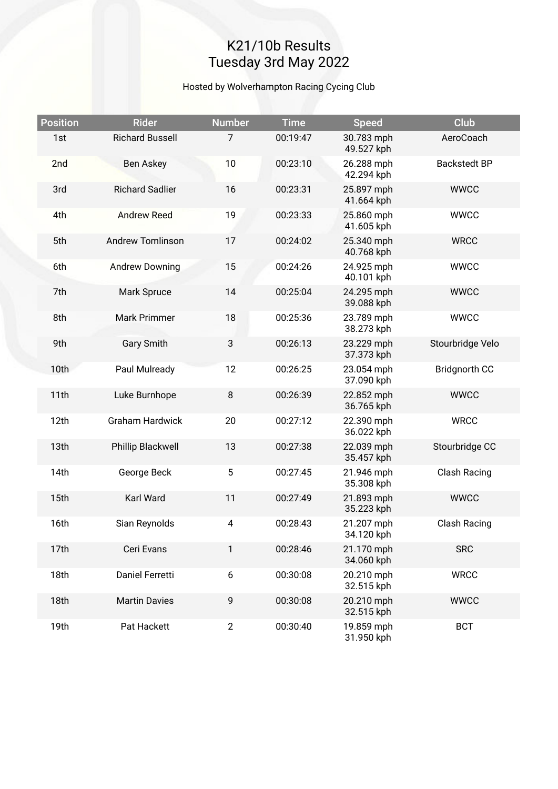## K21/10b Results Tuesday 3rd May 2022

#### Hosted by Wolverhampton Racing Cycing Club

| <b>Position</b>  | <b>Rider</b>            | <b>Number</b> | <b>Time</b> | <b>Speed</b>             | Club                 |
|------------------|-------------------------|---------------|-------------|--------------------------|----------------------|
| 1st              | <b>Richard Bussell</b>  | 7             | 00:19:47    | 30.783 mph<br>49.527 kph | AeroCoach            |
| 2nd              | Ben Askey               | 10            | 00:23:10    | 26.288 mph<br>42.294 kph | <b>Backstedt BP</b>  |
| 3rd              | <b>Richard Sadlier</b>  | 16            | 00:23:31    | 25.897 mph<br>41.664 kph | <b>WWCC</b>          |
| 4th              | <b>Andrew Reed</b>      | 19            | 00:23:33    | 25.860 mph<br>41.605 kph | <b>WWCC</b>          |
| 5th              | <b>Andrew Tomlinson</b> | 17            | 00:24:02    | 25.340 mph<br>40.768 kph | <b>WRCC</b>          |
| 6th              | <b>Andrew Downing</b>   | 15            | 00:24:26    | 24.925 mph<br>40.101 kph | <b>WWCC</b>          |
| 7th              | Mark Spruce             | 14            | 00:25:04    | 24.295 mph<br>39.088 kph | <b>WWCC</b>          |
| 8th              | <b>Mark Primmer</b>     | 18            | 00:25:36    | 23.789 mph<br>38.273 kph | <b>WWCC</b>          |
| 9th              | <b>Gary Smith</b>       | 3             | 00:26:13    | 23.229 mph<br>37.373 kph | Stourbridge Velo     |
| 10th             | Paul Mulready           | 12            | 00:26:25    | 23.054 mph<br>37.090 kph | <b>Bridgnorth CC</b> |
| 11th             | Luke Burnhope           | $\, 8$        | 00:26:39    | 22.852 mph<br>36.765 kph | <b>WWCC</b>          |
| 12th             | <b>Graham Hardwick</b>  | 20            | 00:27:12    | 22.390 mph<br>36.022 kph | <b>WRCC</b>          |
| 13th             | Phillip Blackwell       | 13            | 00:27:38    | 22.039 mph<br>35.457 kph | Stourbridge CC       |
| 14th             | George Beck             | 5             | 00:27:45    | 21.946 mph<br>35.308 kph | Clash Racing         |
| 15 <sub>th</sub> | Karl Ward               | 11            | 00:27:49    | 21.893 mph<br>35.223 kph | <b>WWCC</b>          |
| 16th             | Sian Reynolds           | 4             | 00:28:43    | 21.207 mph<br>34.120 kph | <b>Clash Racing</b>  |
| 17th             | Ceri Evans              | 1             | 00:28:46    | 21.170 mph<br>34.060 kph | <b>SRC</b>           |
| 18th             | Daniel Ferretti         | 6             | 00:30:08    | 20.210 mph<br>32.515 kph | <b>WRCC</b>          |
| 18th             | <b>Martin Davies</b>    | 9             | 00:30:08    | 20.210 mph<br>32.515 kph | <b>WWCC</b>          |
| 19th             | Pat Hackett             | $\mathbf{2}$  | 00:30:40    | 19.859 mph<br>31.950 kph | <b>BCT</b>           |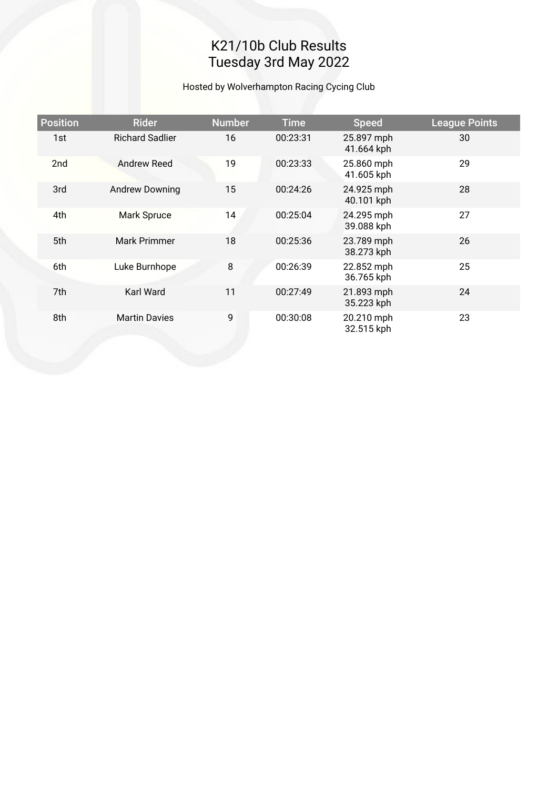# K21/10b Club Results Tuesday 3rd May 2022

#### Hosted by Wolverhampton Racing Cycing Club

| <b>Position</b> | <b>Rider</b>           | <b>Number</b> | <b>Time</b> | <b>Speed</b>             | <b>League Points</b> |
|-----------------|------------------------|---------------|-------------|--------------------------|----------------------|
| 1st             | <b>Richard Sadlier</b> | 16            | 00:23:31    | 25.897 mph<br>41.664 kph | 30                   |
| 2 <sub>nd</sub> | Andrew Reed            | 19            | 00:23:33    | 25.860 mph<br>41.605 kph | 29                   |
| 3rd             | <b>Andrew Downing</b>  | 15            | 00:24:26    | 24.925 mph<br>40.101 kph | 28                   |
| 4th             | Mark Spruce            | 14            | 00:25:04    | 24.295 mph<br>39.088 kph | 27                   |
| 5th             | Mark Primmer           | 18            | 00:25:36    | 23.789 mph<br>38.273 kph | 26                   |
| 6th             | Luke Burnhope          | 8             | 00:26:39    | 22.852 mph<br>36.765 kph | 25                   |
| 7th             | <b>Karl Ward</b>       | 11            | 00:27:49    | 21.893 mph<br>35.223 kph | 24                   |
| 8th             | <b>Martin Davies</b>   | 9             | 00:30:08    | 20.210 mph<br>32.515 kph | 23                   |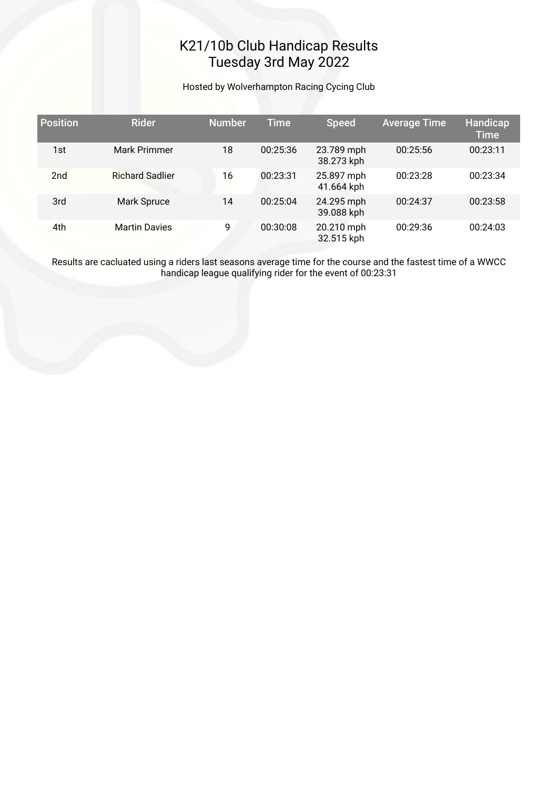### K21/10b Club Handicap Results Tuesday 3rd May 2022

Hosted by Wolverhampton Racing Cycing Club

| <b>Position</b> | <b>Rider</b>           | <b>Number</b> | <b>Time</b> | <b>Speed</b>             | <b>Average Time</b> | Handicap<br><b>Time</b> |
|-----------------|------------------------|---------------|-------------|--------------------------|---------------------|-------------------------|
| 1st             | Mark Primmer           | 18            | 00:25:36    | 23.789 mph<br>38.273 kph | 00:25:56            | 00:23:11                |
| 2 <sub>nd</sub> | <b>Richard Sadlier</b> | 16            | 00:23:31    | 25.897 mph<br>41.664 kph | 00:23:28            | 00:23:34                |
| 3rd             | Mark Spruce            | 14            | 00:25:04    | 24.295 mph<br>39.088 kph | 00:24:37            | 00:23:58                |
| 4th             | <b>Martin Davies</b>   | 9             | 00:30:08    | 20.210 mph<br>32.515 kph | 00:29:36            | 00:24:03                |

Results are cacluated using a riders last seasons average time for the course and the fastest time of a WWCC handicap league qualifying rider for the event of 00:23:31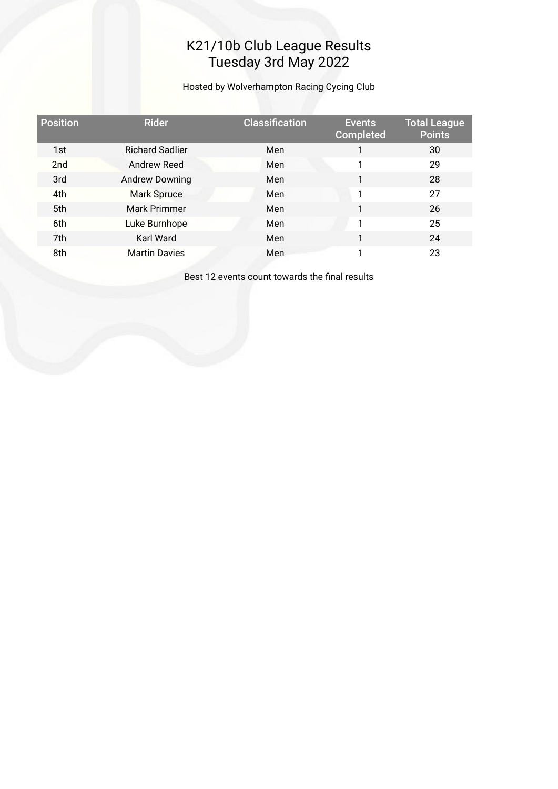### K21/10b Club League Results Tuesday 3rd May 2022

Hosted by Wolverhampton Racing Cycing Club

| <b>Position</b> | <b>Rider</b>           | <b>Classification</b> | <b>Events</b><br><b>Completed</b> | <b>Total League</b><br><b>Points</b> |
|-----------------|------------------------|-----------------------|-----------------------------------|--------------------------------------|
| 1st             | <b>Richard Sadlier</b> | Men                   | 1                                 | 30                                   |
| 2 <sub>nd</sub> | Andrew Reed            | Men                   | 1                                 | 29                                   |
| 3rd             | <b>Andrew Downing</b>  | Men                   | 1                                 | 28                                   |
| 4th             | <b>Mark Spruce</b>     | Men                   | 1                                 | 27                                   |
| 5th             | Mark Primmer           | Men                   | 1                                 | 26                                   |
| 6th             | Luke Burnhope          | Men                   | 1                                 | 25                                   |
| 7th             | Karl Ward              | Men                   | 1                                 | 24                                   |
| 8th             | <b>Martin Davies</b>   | Men                   | 1                                 | 23                                   |

Best 12 events count towards the fnal results